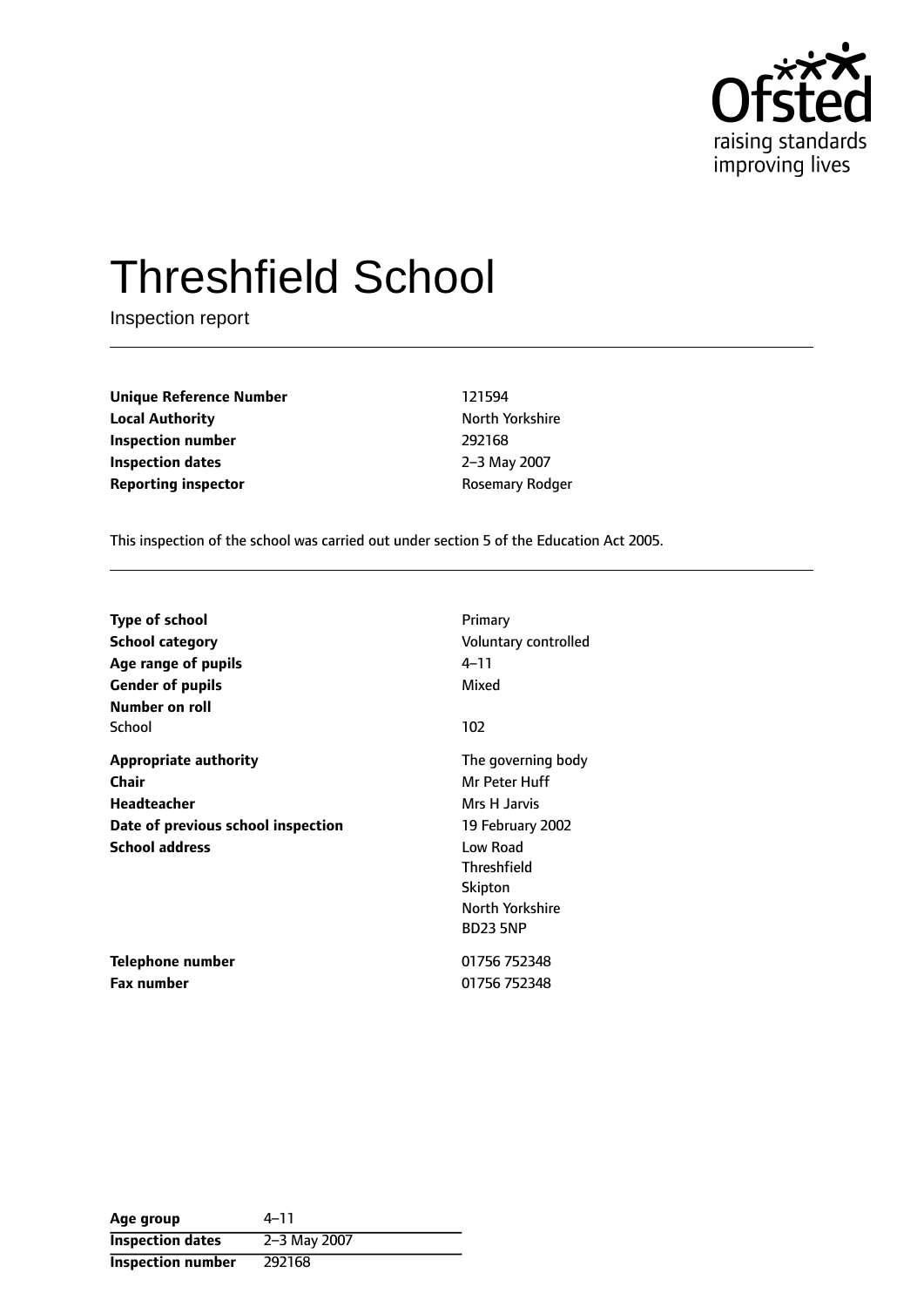

# Threshfield School

Inspection report

**Unique Reference Number** 121594 **Local Authority North Yorkshire Inspection number** 292168 **Inspection dates** 2-3 May 2007 **Reporting inspector CONFIDENTIFY ROSEMATE REPORTING** 

This inspection of the school was carried out under section 5 of the Education Act 2005.

| <b>Type of school</b>              | Primary              |
|------------------------------------|----------------------|
| <b>School category</b>             | Voluntary controlled |
| Age range of pupils                | 4–11                 |
| <b>Gender of pupils</b>            | Mixed                |
| Number on roll                     |                      |
| School                             | 102                  |
| <b>Appropriate authority</b>       | The governing body   |
| Chair                              | Mr Peter Huff        |
| Headteacher                        | Mrs H Jarvis         |
| Date of previous school inspection | 19 February 2002     |
| <b>School address</b>              | Low Road             |
|                                    | <b>Threshfield</b>   |
|                                    | Skipton              |
|                                    | North Yorkshire      |
|                                    | <b>BD23 5NP</b>      |
| Telephone number                   | 01756 752348         |
| <b>Fax number</b>                  | 01756 752348         |

| Age group                | $4 - 11$     |
|--------------------------|--------------|
| <b>Inspection dates</b>  | 2-3 May 2007 |
| <b>Inspection number</b> | 292168       |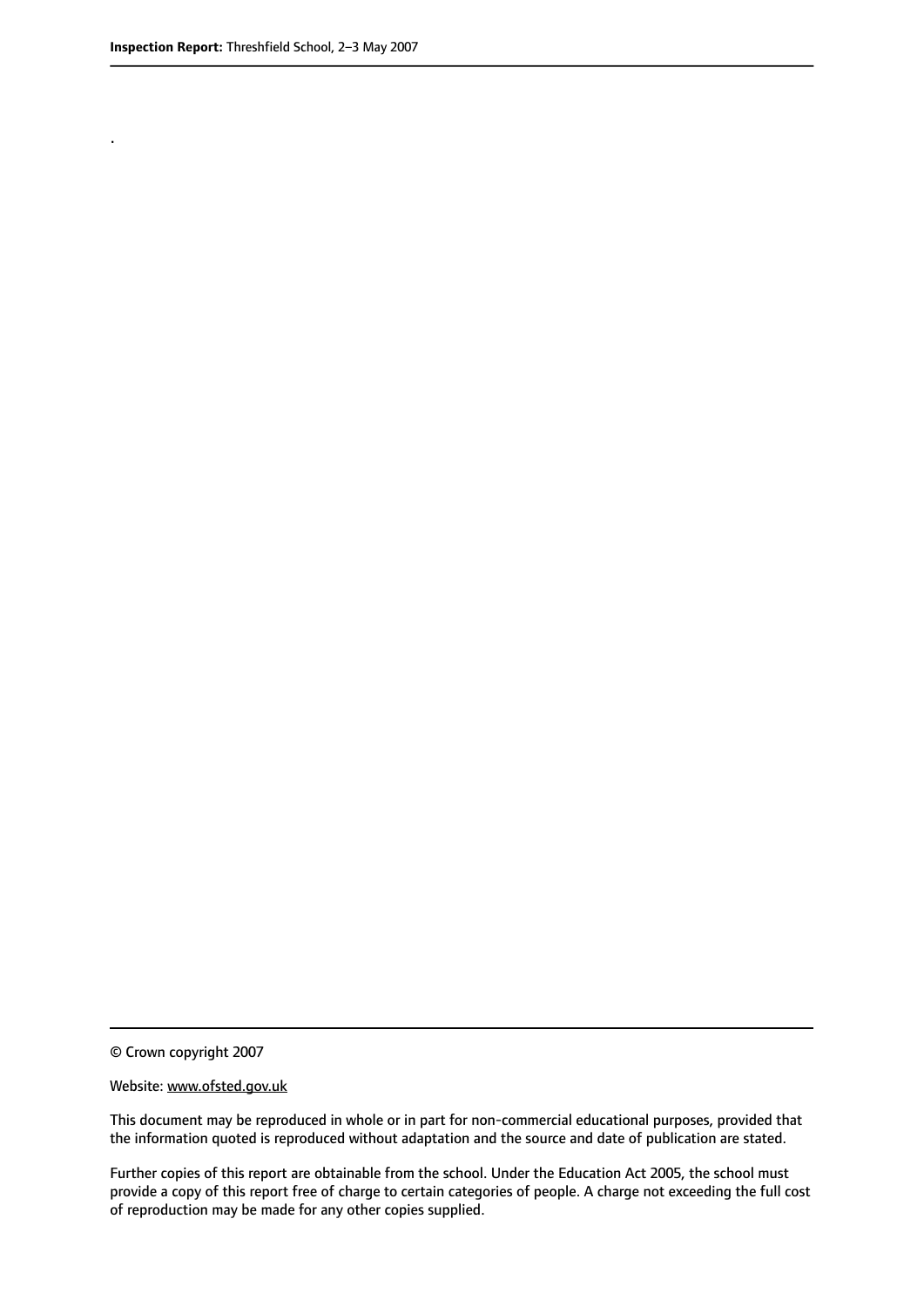.

© Crown copyright 2007

#### Website: www.ofsted.gov.uk

This document may be reproduced in whole or in part for non-commercial educational purposes, provided that the information quoted is reproduced without adaptation and the source and date of publication are stated.

Further copies of this report are obtainable from the school. Under the Education Act 2005, the school must provide a copy of this report free of charge to certain categories of people. A charge not exceeding the full cost of reproduction may be made for any other copies supplied.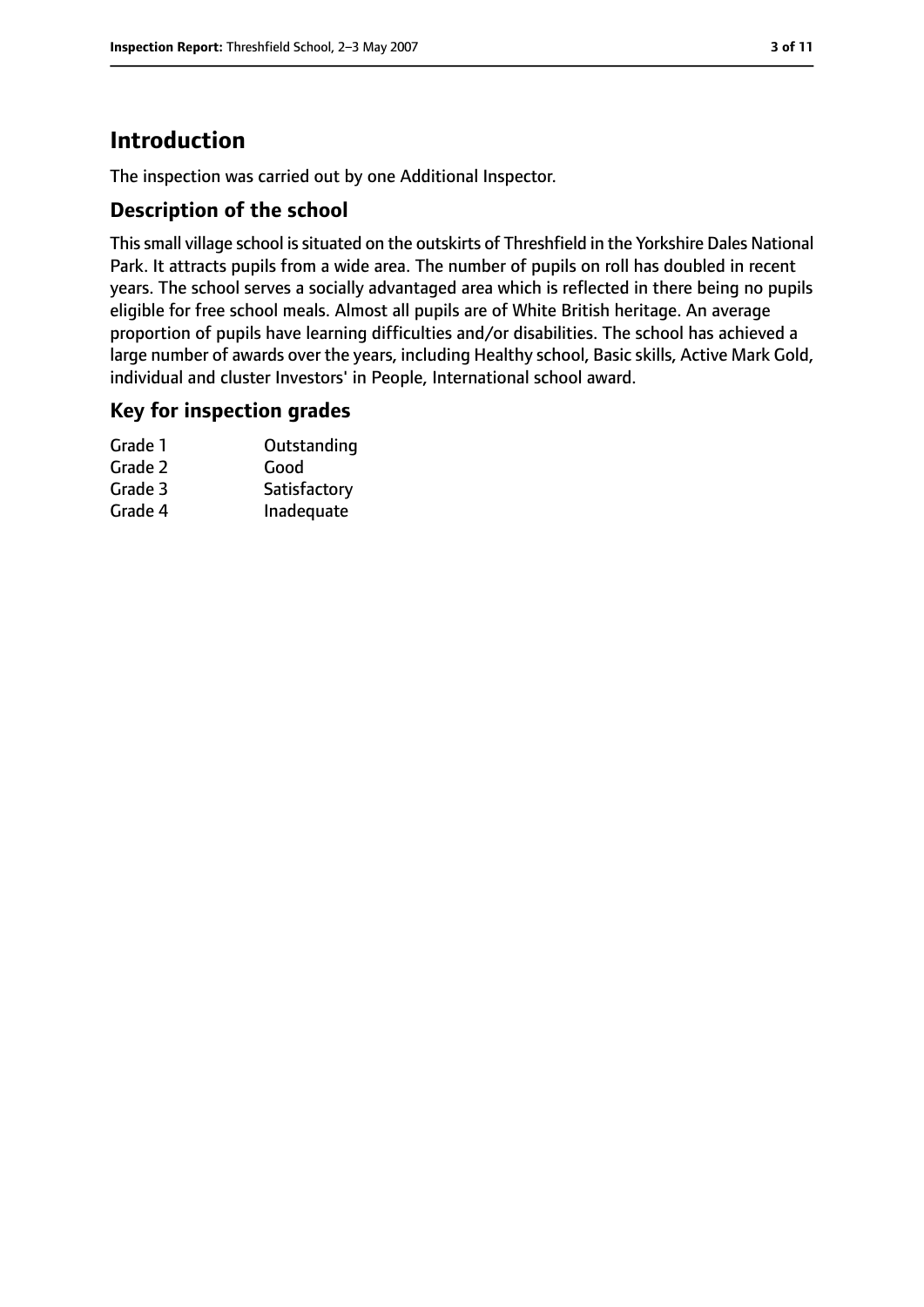## **Introduction**

The inspection was carried out by one Additional Inspector.

#### **Description of the school**

This small village school is situated on the outskirts of Threshfield in the Yorkshire Dales National Park. It attracts pupils from a wide area. The number of pupils on roll has doubled in recent years. The school serves a socially advantaged area which is reflected in there being no pupils eligible for free school meals. Almost all pupils are of White British heritage. An average proportion of pupils have learning difficulties and/or disabilities. The school has achieved a large number of awards over the years, including Healthy school, Basic skills, Active Mark Gold, individual and cluster Investors' in People, International school award.

#### **Key for inspection grades**

| Outstanding  |
|--------------|
| Good         |
| Satisfactory |
| Inadequate   |
|              |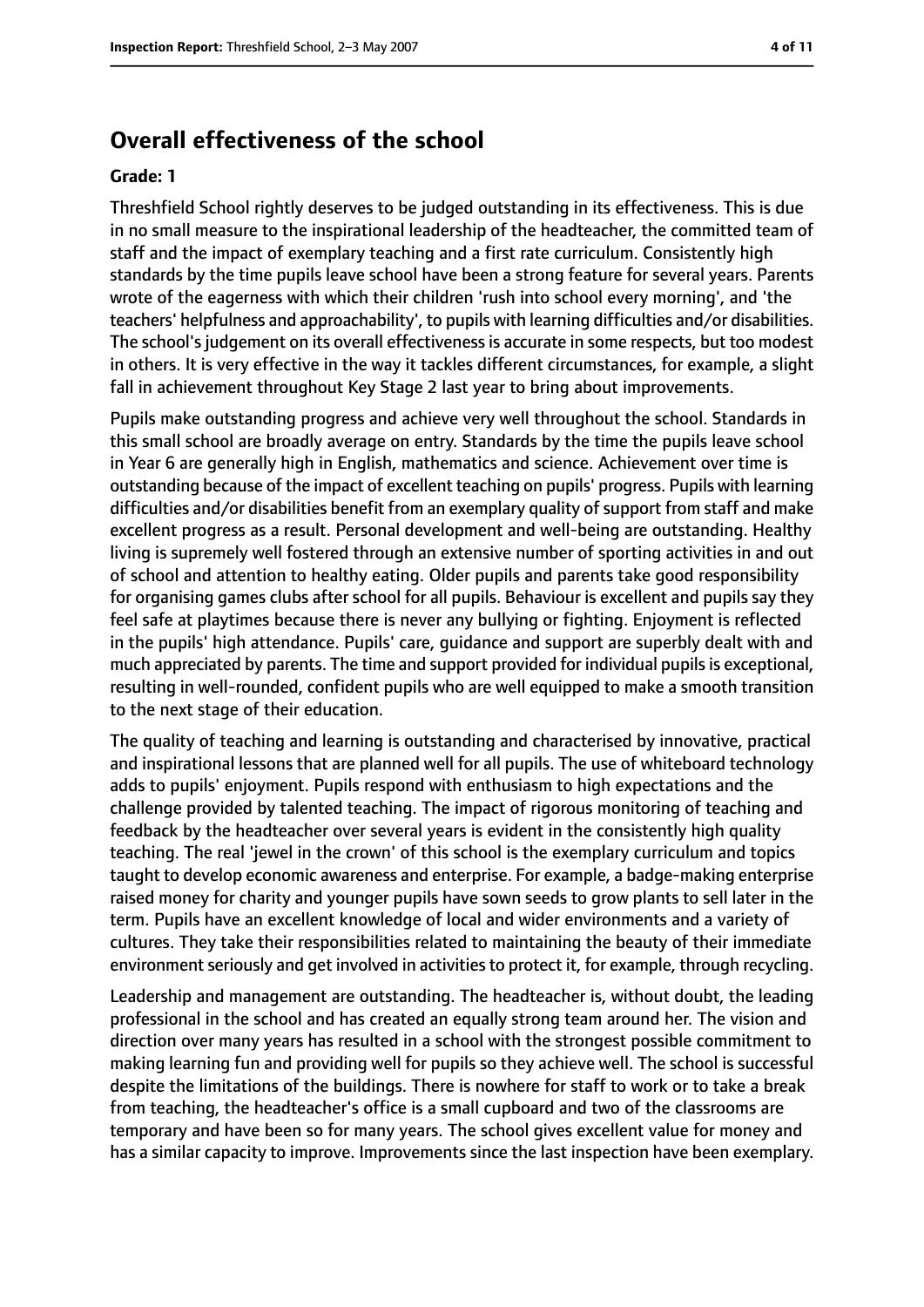## **Overall effectiveness of the school**

#### **Grade: 1**

Threshfield School rightly deserves to be judged outstanding in its effectiveness. This is due in no small measure to the inspirational leadership of the headteacher, the committed team of staff and the impact of exemplary teaching and a first rate curriculum. Consistently high standards by the time pupils leave school have been a strong feature for several years. Parents wrote of the eagerness with which their children 'rush into school every morning', and 'the teachers' helpfulness and approachability', to pupils with learning difficulties and/or disabilities. The school's judgement on its overall effectiveness is accurate in some respects, but too modest in others. It is very effective in the way it tackles different circumstances, for example, a slight fall in achievement throughout Key Stage 2 last year to bring about improvements.

Pupils make outstanding progress and achieve very well throughout the school. Standards in this small school are broadly average on entry. Standards by the time the pupils leave school in Year 6 are generally high in English, mathematics and science. Achievement over time is outstanding because of the impact of excellent teaching on pupils' progress. Pupils with learning difficulties and/or disabilities benefit from an exemplary quality of support from staff and make excellent progress as a result. Personal development and well-being are outstanding. Healthy living is supremely well fostered through an extensive number of sporting activities in and out of school and attention to healthy eating. Older pupils and parents take good responsibility for organising games clubs after school for all pupils. Behaviour is excellent and pupils say they feel safe at playtimes because there is never any bullying or fighting. Enjoyment is reflected in the pupils' high attendance. Pupils' care, guidance and support are superbly dealt with and much appreciated by parents. The time and support provided for individual pupils is exceptional, resulting in well-rounded, confident pupils who are well equipped to make a smooth transition to the next stage of their education.

The quality of teaching and learning is outstanding and characterised by innovative, practical and inspirational lessons that are planned well for all pupils. The use of whiteboard technology adds to pupils' enjoyment. Pupils respond with enthusiasm to high expectations and the challenge provided by talented teaching. The impact of rigorous monitoring of teaching and feedback by the headteacher over several years is evident in the consistently high quality teaching. The real 'jewel in the crown' of this school is the exemplary curriculum and topics taught to develop economic awareness and enterprise. For example, a badge-making enterprise raised money for charity and younger pupils have sown seeds to grow plants to sell later in the term. Pupils have an excellent knowledge of local and wider environments and a variety of cultures. They take their responsibilities related to maintaining the beauty of their immediate environment seriously and get involved in activities to protect it, for example, through recycling.

Leadership and management are outstanding. The headteacher is, without doubt, the leading professional in the school and has created an equally strong team around her. The vision and direction over many years has resulted in a school with the strongest possible commitment to making learning fun and providing well for pupils so they achieve well. The school is successful despite the limitations of the buildings. There is nowhere for staff to work or to take a break from teaching, the headteacher's office is a small cupboard and two of the classrooms are temporary and have been so for many years. The school gives excellent value for money and has a similar capacity to improve. Improvements since the last inspection have been exemplary.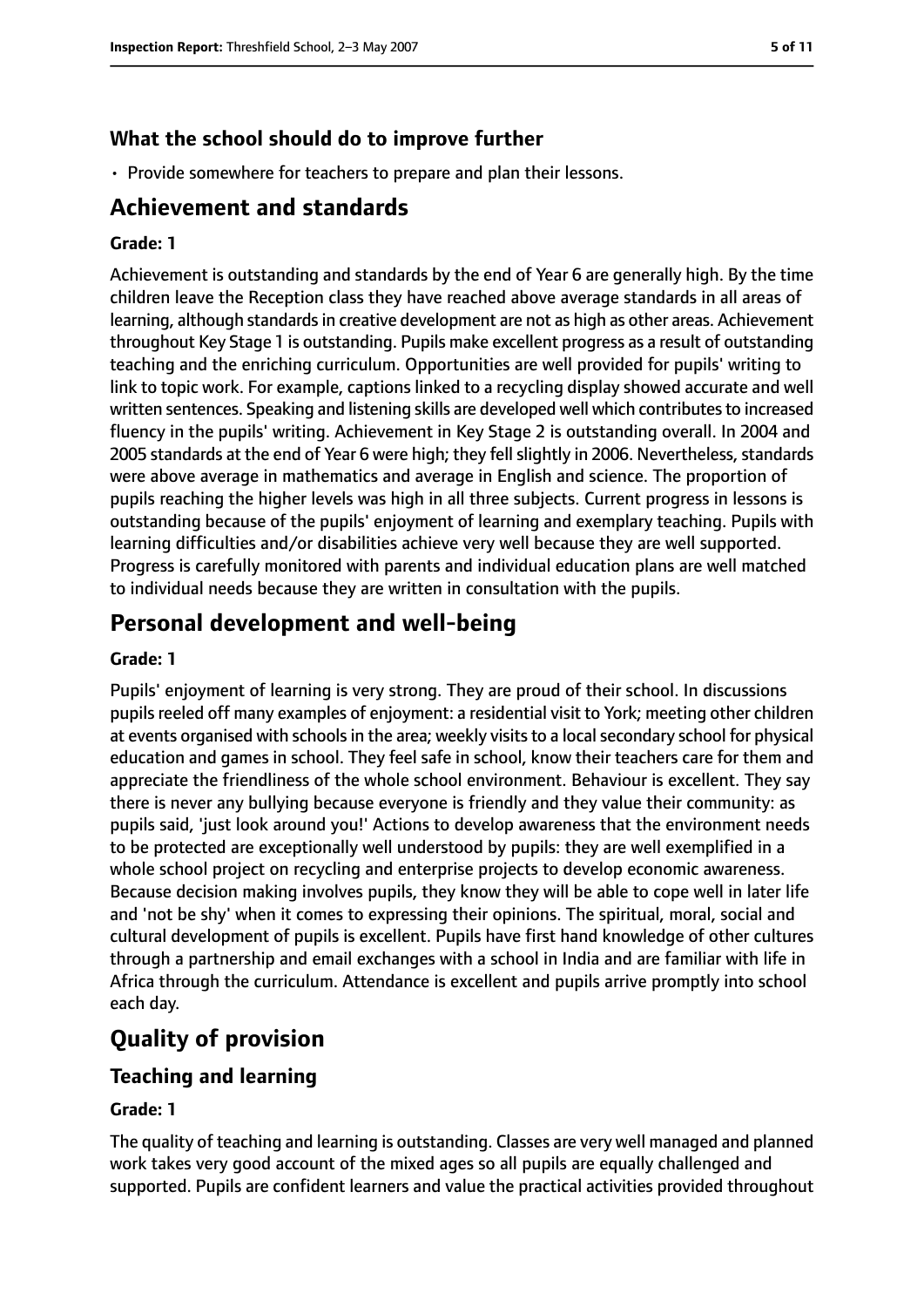## **What the school should do to improve further**

• Provide somewhere for teachers to prepare and plan their lessons.

## **Achievement and standards**

#### **Grade: 1**

Achievement is outstanding and standards by the end of Year 6 are generally high. By the time children leave the Reception class they have reached above average standards in all areas of learning, although standards in creative development are not as high as other areas. Achievement throughout Key Stage 1 is outstanding. Pupils make excellent progress as a result of outstanding teaching and the enriching curriculum. Opportunities are well provided for pupils' writing to link to topic work. For example, captions linked to a recycling display showed accurate and well written sentences. Speaking and listening skills are developed well which contributes to increased fluency in the pupils' writing. Achievement in Key Stage 2 is outstanding overall. In 2004 and 2005 standards at the end of Year 6 were high; they fell slightly in 2006. Nevertheless, standards were above average in mathematics and average in English and science. The proportion of pupils reaching the higher levels was high in all three subjects. Current progress in lessons is outstanding because of the pupils' enjoyment of learning and exemplary teaching. Pupils with learning difficulties and/or disabilities achieve very well because they are well supported. Progress is carefully monitored with parents and individual education plans are well matched to individual needs because they are written in consultation with the pupils.

## **Personal development and well-being**

#### **Grade: 1**

Pupils' enjoyment of learning is very strong. They are proud of their school. In discussions pupils reeled off many examples of enjoyment: a residential visit to York; meeting other children at events organised with schools in the area; weekly visits to a local secondary school for physical education and games in school. They feel safe in school, know their teachers care for them and appreciate the friendliness of the whole school environment. Behaviour is excellent. They say there is never any bullying because everyone is friendly and they value their community: as pupils said, 'just look around you!' Actions to develop awareness that the environment needs to be protected are exceptionally well understood by pupils: they are well exemplified in a whole school project on recycling and enterprise projects to develop economic awareness. Because decision making involves pupils, they know they will be able to cope well in later life and 'not be shy' when it comes to expressing their opinions. The spiritual, moral, social and cultural development of pupils is excellent. Pupils have first hand knowledge of other cultures through a partnership and email exchanges with a school in India and are familiar with life in Africa through the curriculum. Attendance is excellent and pupils arrive promptly into school each day.

## **Quality of provision**

#### **Teaching and learning**

#### **Grade: 1**

The quality of teaching and learning is outstanding. Classes are very well managed and planned work takes very good account of the mixed ages so all pupils are equally challenged and supported. Pupils are confident learners and value the practical activities provided throughout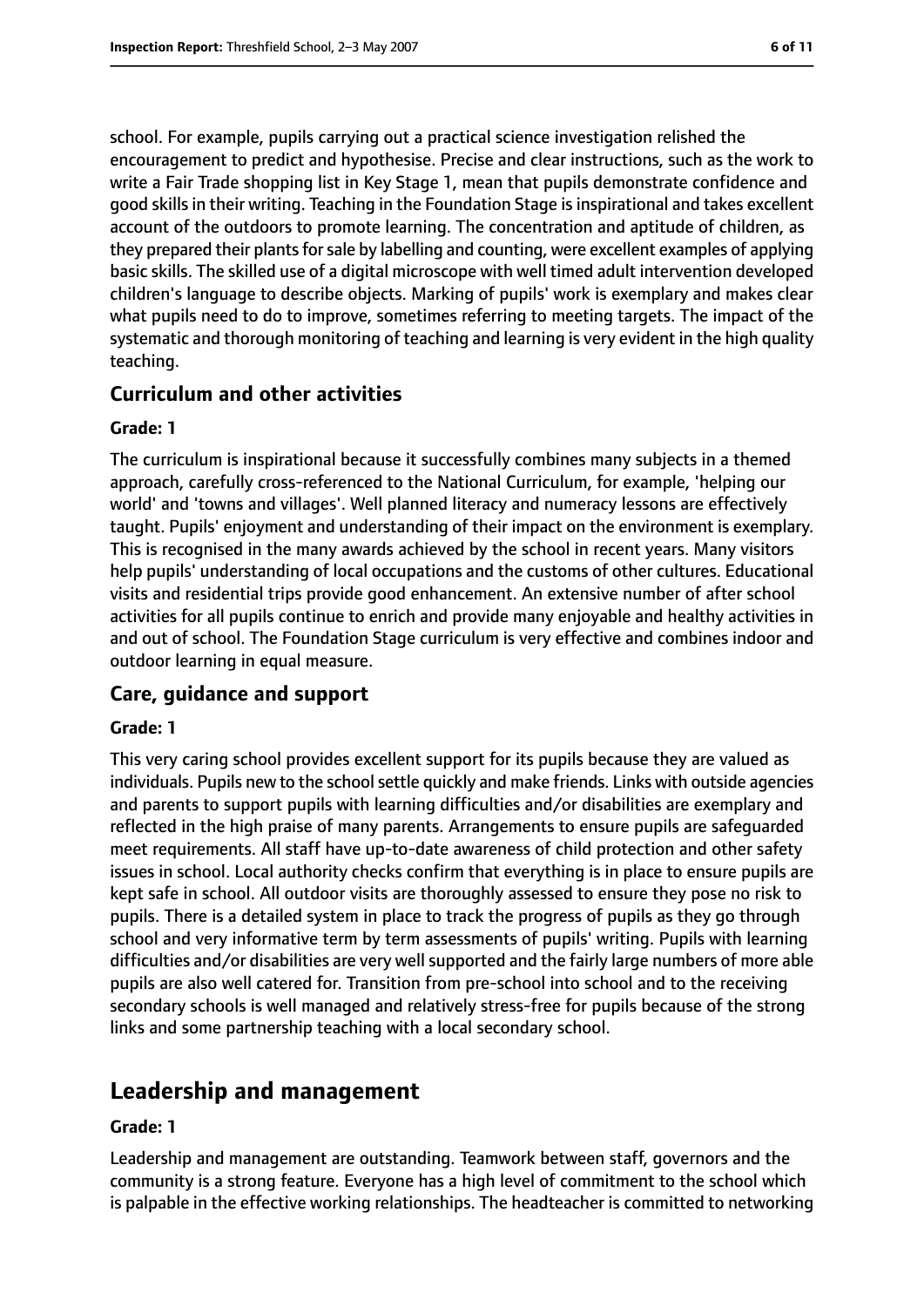school. For example, pupils carrying out a practical science investigation relished the encouragement to predict and hypothesise. Precise and clear instructions, such as the work to write a Fair Trade shopping list in Key Stage 1, mean that pupils demonstrate confidence and good skills in their writing. Teaching in the Foundation Stage is inspirational and takes excellent account of the outdoors to promote learning. The concentration and aptitude of children, as they prepared their plants for sale by labelling and counting, were excellent examples of applying basic skills. The skilled use of a digital microscope with well timed adult intervention developed children's language to describe objects. Marking of pupils' work is exemplary and makes clear what pupils need to do to improve, sometimes referring to meeting targets. The impact of the systematic and thorough monitoring of teaching and learning is very evident in the high quality teaching.

## **Curriculum and other activities**

#### **Grade: 1**

The curriculum is inspirational because it successfully combines many subjects in a themed approach, carefully cross-referenced to the National Curriculum, for example, 'helping our world' and 'towns and villages'. Well planned literacy and numeracy lessons are effectively taught. Pupils' enjoyment and understanding of their impact on the environment is exemplary. This is recognised in the many awards achieved by the school in recent years. Many visitors help pupils' understanding of local occupations and the customs of other cultures. Educational visits and residential trips provide good enhancement. An extensive number of after school activities for all pupils continue to enrich and provide many enjoyable and healthy activities in and out of school. The Foundation Stage curriculum is very effective and combines indoor and outdoor learning in equal measure.

## **Care, guidance and support**

#### **Grade: 1**

This very caring school provides excellent support for its pupils because they are valued as individuals. Pupils new to the school settle quickly and make friends. Links with outside agencies and parents to support pupils with learning difficulties and/or disabilities are exemplary and reflected in the high praise of many parents. Arrangements to ensure pupils are safeguarded meet requirements. All staff have up-to-date awareness of child protection and other safety issues in school. Local authority checks confirm that everything is in place to ensure pupils are kept safe in school. All outdoor visits are thoroughly assessed to ensure they pose no risk to pupils. There is a detailed system in place to track the progress of pupils as they go through school and very informative term by term assessments of pupils' writing. Pupils with learning difficulties and/or disabilities are very well supported and the fairly large numbers of more able pupils are also well catered for. Transition from pre-school into school and to the receiving secondary schools is well managed and relatively stress-free for pupils because of the strong links and some partnership teaching with a local secondary school.

## **Leadership and management**

#### **Grade: 1**

Leadership and management are outstanding. Teamwork between staff, governors and the community is a strong feature. Everyone has a high level of commitment to the school which is palpable in the effective working relationships. The headteacher is committed to networking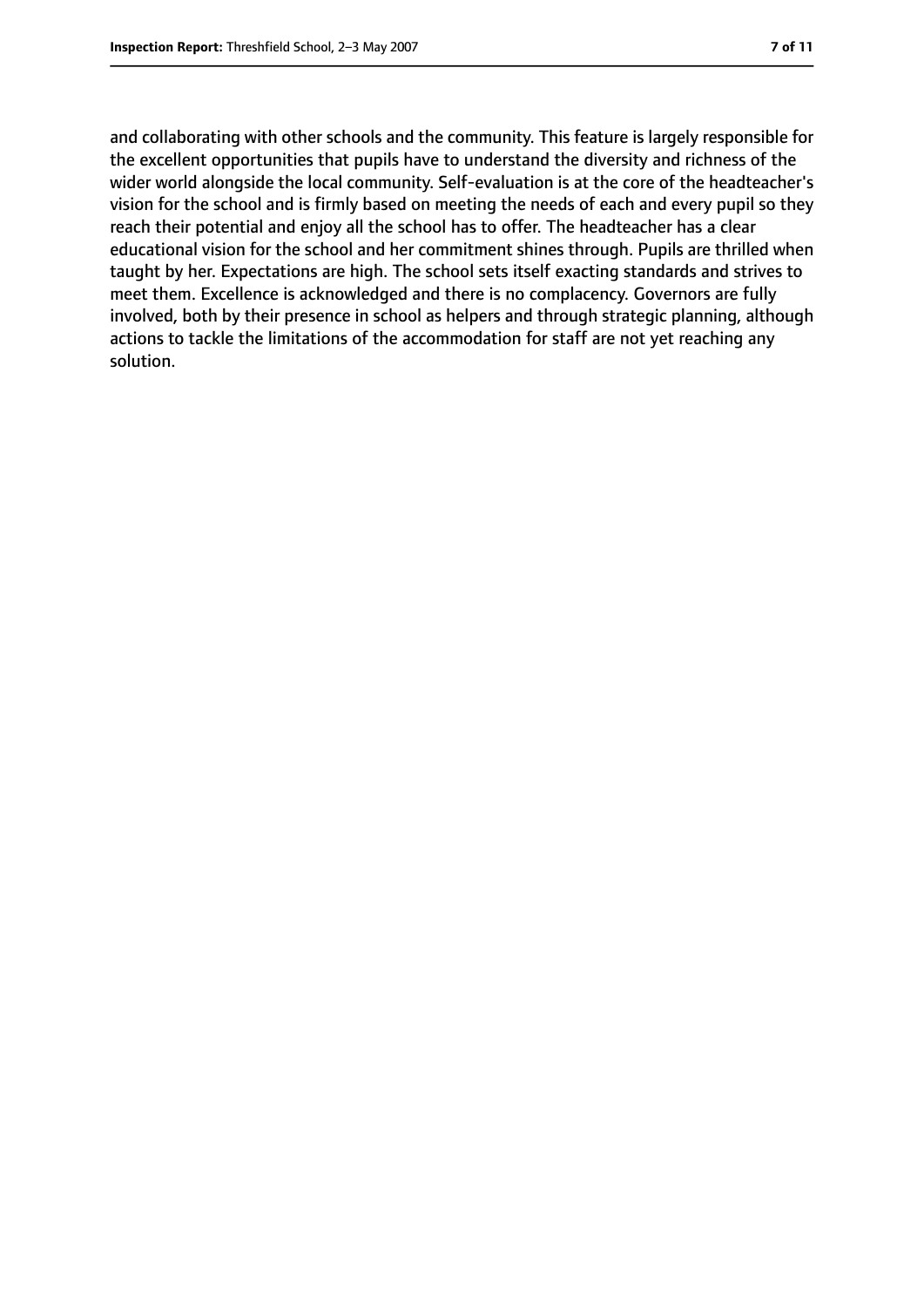and collaborating with other schools and the community. This feature is largely responsible for the excellent opportunities that pupils have to understand the diversity and richness of the wider world alongside the local community. Self-evaluation is at the core of the headteacher's vision for the school and is firmly based on meeting the needs of each and every pupil so they reach their potential and enjoy all the school has to offer. The headteacher has a clear educational vision for the school and her commitment shines through. Pupils are thrilled when taught by her. Expectations are high. The school sets itself exacting standards and strives to meet them. Excellence is acknowledged and there is no complacency. Governors are fully involved, both by their presence in school as helpers and through strategic planning, although actions to tackle the limitations of the accommodation for staff are not yet reaching any solution.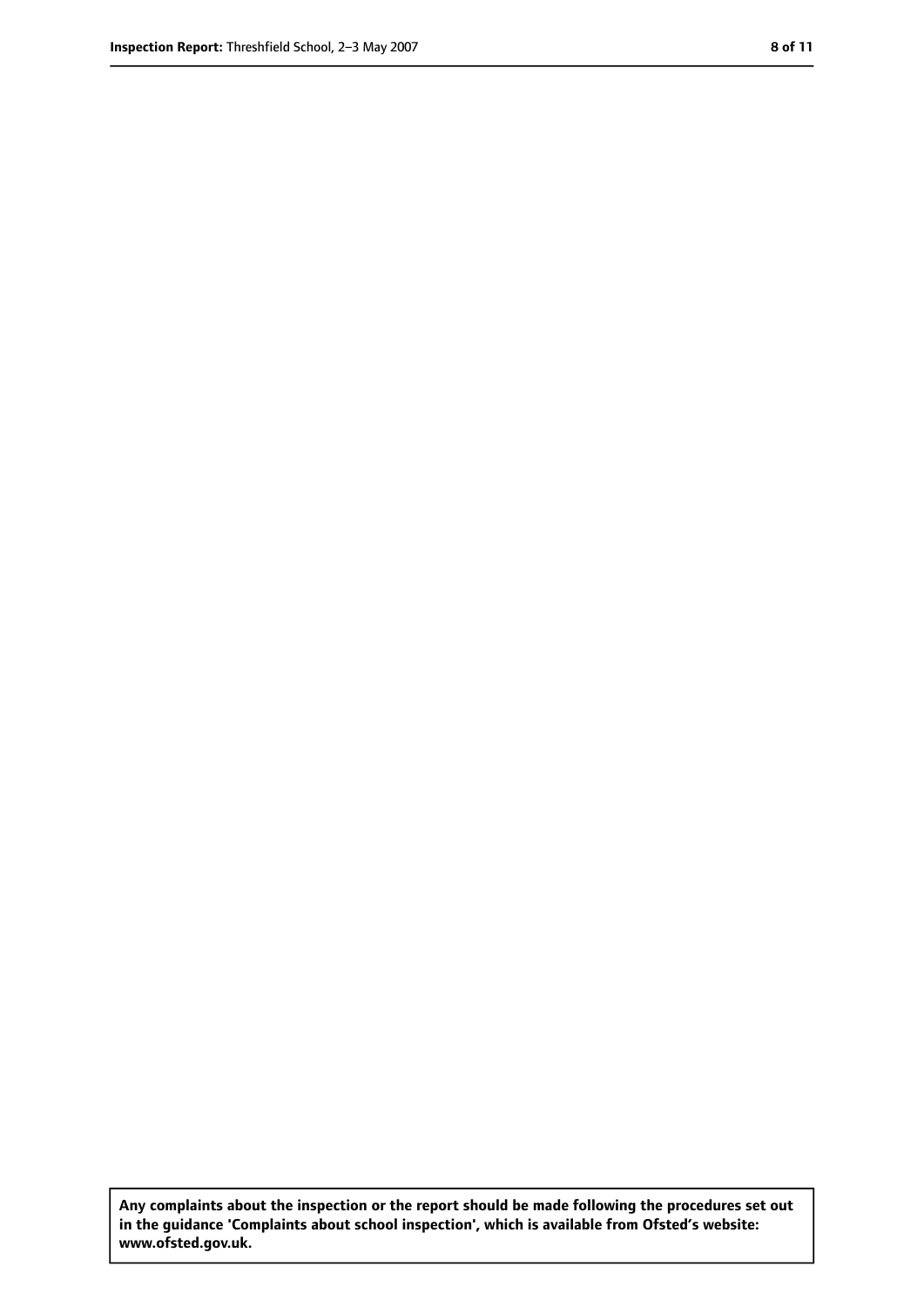**Any complaints about the inspection or the report should be made following the procedures set out in the guidance 'Complaints about school inspection', which is available from Ofsted's website: www.ofsted.gov.uk.**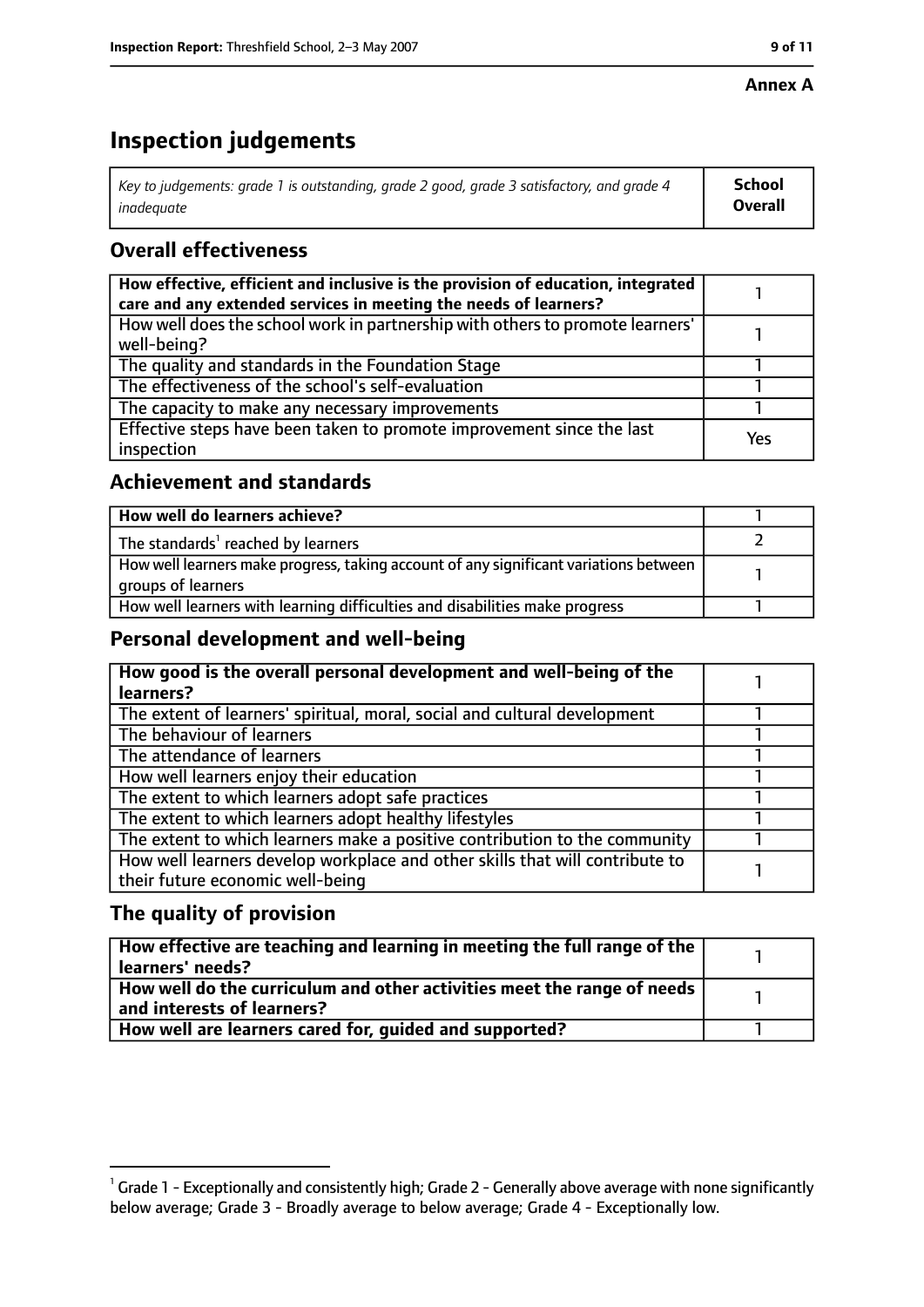#### **Annex A**

# **Inspection judgements**

| Key to judgements: grade 1 is outstanding, grade 2 good, grade 3 satisfactory, and grade 4 | School         |
|--------------------------------------------------------------------------------------------|----------------|
| inadeguate                                                                                 | <b>Overall</b> |

## **Overall effectiveness**

| How effective, efficient and inclusive is the provision of education, integrated<br>care and any extended services in meeting the needs of learners? |     |
|------------------------------------------------------------------------------------------------------------------------------------------------------|-----|
| How well does the school work in partnership with others to promote learners'<br>well-being?                                                         |     |
| The quality and standards in the Foundation Stage                                                                                                    |     |
| The effectiveness of the school's self-evaluation                                                                                                    |     |
| The capacity to make any necessary improvements                                                                                                      |     |
| Effective steps have been taken to promote improvement since the last<br>inspection                                                                  | Yes |

## **Achievement and standards**

| How well do learners achieve?                                                                               |  |
|-------------------------------------------------------------------------------------------------------------|--|
| The standards <sup>1</sup> reached by learners                                                              |  |
| How well learners make progress, taking account of any significant variations between<br>groups of learners |  |
| How well learners with learning difficulties and disabilities make progress                                 |  |

## **Personal development and well-being**

| How good is the overall personal development and well-being of the           |  |
|------------------------------------------------------------------------------|--|
| learners?                                                                    |  |
| The extent of learners' spiritual, moral, social and cultural development    |  |
| The behaviour of learners                                                    |  |
| The attendance of learners                                                   |  |
| How well learners enjoy their education                                      |  |
| The extent to which learners adopt safe practices                            |  |
| The extent to which learners adopt healthy lifestyles                        |  |
| The extent to which learners make a positive contribution to the community   |  |
| How well learners develop workplace and other skills that will contribute to |  |
| their future economic well-being                                             |  |

## **The quality of provision**

| $\mid$ How effective are teaching and learning in meeting the full range of the $\mid$<br>  learners' needs?               |  |
|----------------------------------------------------------------------------------------------------------------------------|--|
| $\mid$ How well do the curriculum and other activities meet the range of needs $\mid$<br>$\mid$ and interests of learners? |  |
| How well are learners cared for, quided and supported?                                                                     |  |

 $^1$  Grade 1 - Exceptionally and consistently high; Grade 2 - Generally above average with none significantly below average; Grade 3 - Broadly average to below average; Grade 4 - Exceptionally low.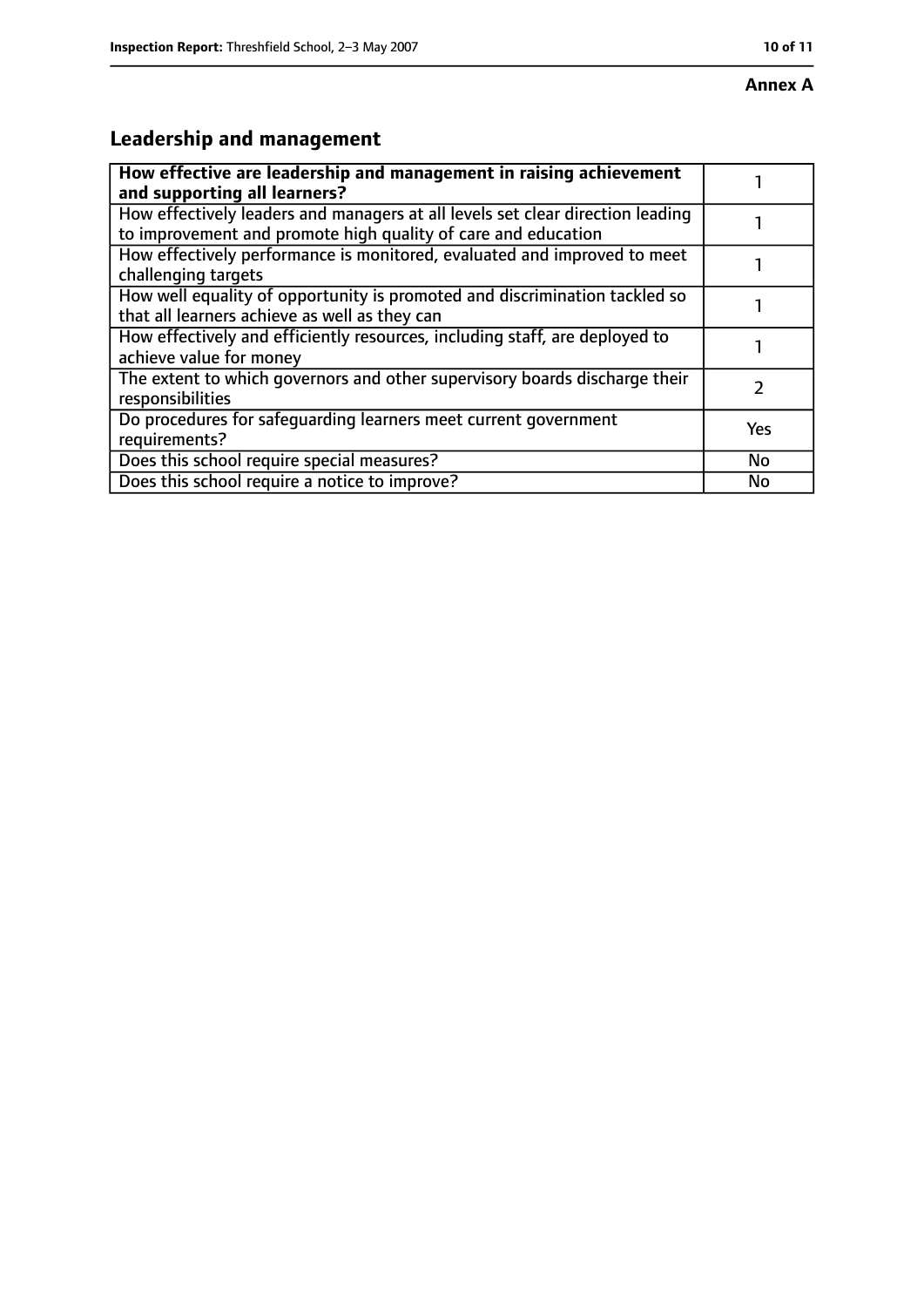# **Leadership and management**

| How effective are leadership and management in raising achievement<br>and supporting all learners? |     |
|----------------------------------------------------------------------------------------------------|-----|
|                                                                                                    |     |
| How effectively leaders and managers at all levels set clear direction leading                     |     |
| to improvement and promote high quality of care and education                                      |     |
| How effectively performance is monitored, evaluated and improved to meet                           |     |
| challenging targets                                                                                |     |
| How well equality of opportunity is promoted and discrimination tackled so                         |     |
| that all learners achieve as well as they can                                                      |     |
| How effectively and efficiently resources, including staff, are deployed to                        |     |
| achieve value for money                                                                            |     |
| The extent to which governors and other supervisory boards discharge their                         | フ   |
| responsibilities                                                                                   |     |
| Do procedures for safequarding learners meet current government                                    | Yes |
| requirements?                                                                                      |     |
| Does this school require special measures?                                                         | No  |
| Does this school require a notice to improve?                                                      | No  |